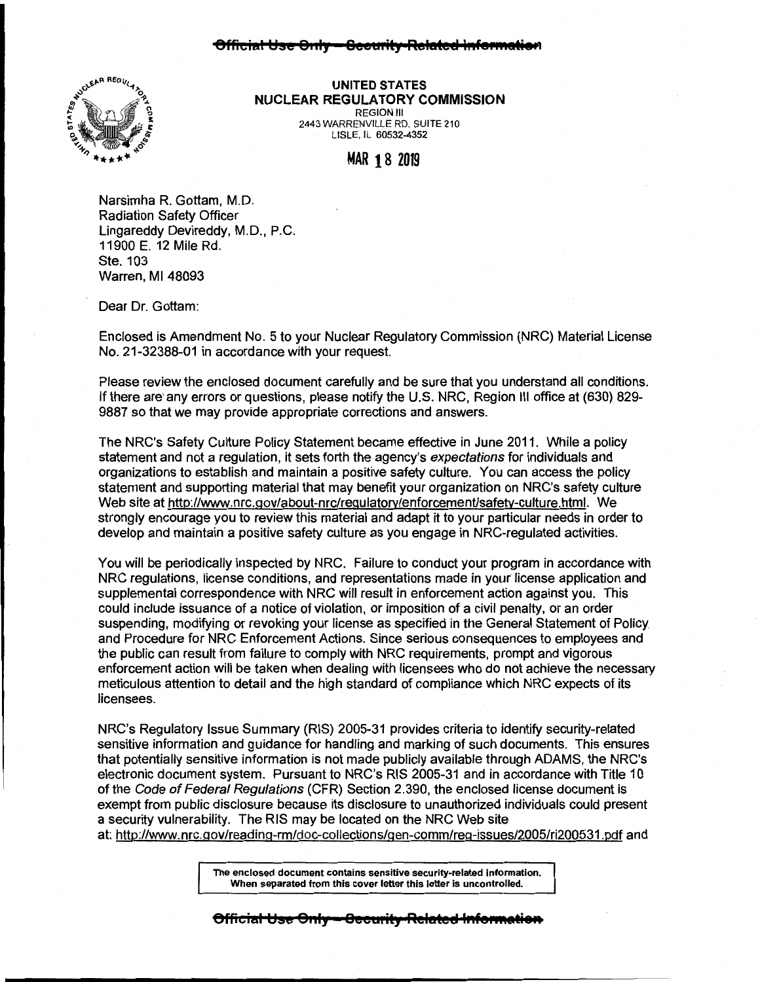## 3ffi<del>cial Use Only — Gecurity-Related Informati</del>



**UNITED STATES NUCLEAR REGULATORY COMMISSION**  REGION Ill 2443 WARRENVILLE RD. SUITE 210 LISLE, IL 60532-4352

MAR 18 <sup>2019</sup>

Narsimha R. Gottam, M.D. Radiation Safety Officer Lingareddy Devireddy, M.D., P.C. 11900 E. 12 Mile Rd. Ste. 103 Warren, Ml 48093

Dear Dr. Gottam:

Enclosed is Amendment No. 5 to your Nuclear Regulatory Commission (NRC) Material License No. 21-32388-01 in accordance with your request.

Please review the enclosed document carefully and be sure that you understand all conditions. If there are' any errors or questions, please notify the U.S. NRC, Region Ill office at (630) 829- 9887 so that we may provide appropriate corrections and answers.

The NRC's Safety Culture Policy Statement became effective in June 2011. While a policy statement and not a regulation, it sets forth the agency's expectations for individuals and organizations to establish and maintain a positive safety culture. You can access the policy statement and supporting material that may benefit your organization on NRC's safety culture Web site at http://www.nrc.gov/about-nrc/regulatory/enforcement/safety-culture.html. We strongly encourage you to review this material and adapt it to your particular needs in order to develop and maintain a positive safety culture as you engage in NRG-regulated activities.

You will be periodically inspected by NRC. Failure to conduct your program in accordance with NRC regulations, license conditions, and representations made in your license application and supplemental correspondence with NRC will result in enforcement action against you. This could include issuance of a notice of violation, or imposition of a civil penalty, or an order suspending, modifying or revoking your license as specified in the General Statement of Policy and Procedure for NRC Enforcement Actions. Since serious consequences to employees and the public can result from failure to comply with NRC requirements, prompt and vigorous enforcement action will be taken when dealing with licensees who do not achieve the necessary meticulous attention to detail and the high standard of compliance which NRC expects of its licensees.

NRC's Regulatory Issue Summary (RIS} 2005-31 provides criteria to identify security-related sensitive information and guidance for handling and marking of such documents. This ensures that potentially sensitive information is not made publicly available through ADAMS, the NRC's electronic document system. Pursuant to NRC's RIS 2005-31 and in accordance with Title 10 of the Code of Federal Regulations (CFR) Section 2.390, the enclosed license document is exempt from public disclosure because its disclosure to unauthorized individuals could present a security vulnerability. The RIS may be located on the NRC Web site

at: http://www. nrc. gov/reading-rm/doc-collections/gen-comm/reg-issues/2005/ri200531 .Pdf and

**The enclosed document contains sensitive security-related information. When separated from this cover letter this letter is uncontrolled.** 

**8fficial Use Only - Becurity Related In**